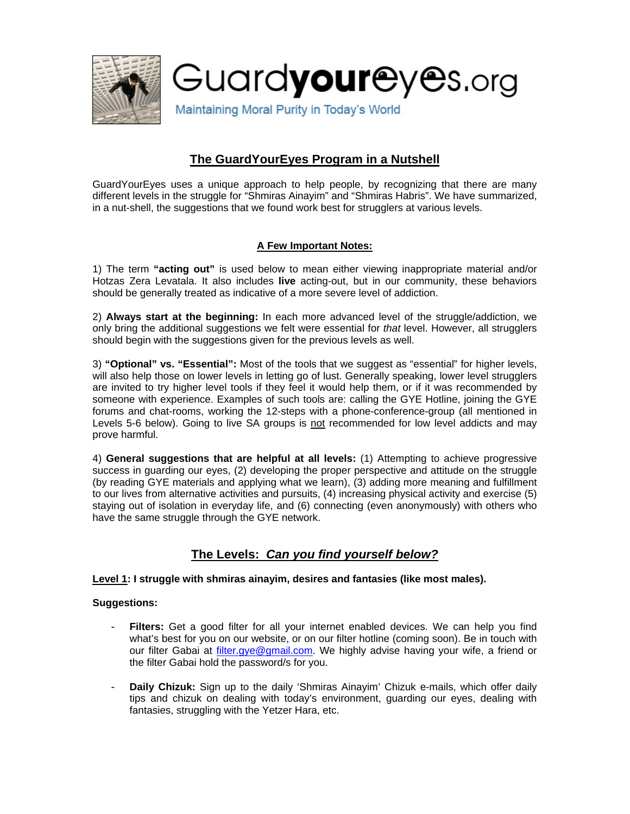

# **The GuardYourEyes Program in a Nutshell**

GuardYourEyes uses a unique approach to help people, by recognizing that there are many different levels in the struggle for "Shmiras Ainayim" and "Shmiras Habris". We have summarized, in a nut-shell, the suggestions that we found work best for strugglers at various levels.

## **A Few Important Notes:**

1) The term **"acting out"** is used below to mean either viewing inappropriate material and/or Hotzas Zera Levatala. It also includes **live** acting-out, but in our community, these behaviors should be generally treated as indicative of a more severe level of addiction.

2) **Always start at the beginning:** In each more advanced level of the struggle/addiction, we only bring the additional suggestions we felt were essential for *that* level. However, all strugglers should begin with the suggestions given for the previous levels as well.

3) **"Optional" vs. "Essential":** Most of the tools that we suggest as "essential" for higher levels, will also help those on lower levels in letting go of lust. Generally speaking, lower level strugglers are invited to try higher level tools if they feel it would help them, or if it was recommended by someone with experience. Examples of such tools are: calling the GYE Hotline, joining the GYE forums and chat-rooms, working the 12-steps with a phone-conference-group (all mentioned in Levels 5-6 below). Going to live SA groups is not recommended for low level addicts and may prove harmful.

4) **General suggestions that are helpful at all levels:** (1) Attempting to achieve progressive success in guarding our eyes, (2) developing the proper perspective and attitude on the struggle (by reading GYE materials and applying what we learn), (3) adding more meaning and fulfillment to our lives from alternative activities and pursuits, (4) increasing physical activity and exercise (5) staying out of isolation in everyday life, and (6) connecting (even anonymously) with others who have the same struggle through the GYE network.

## **The Levels:** *Can you find yourself below?*

## **Level 1: I struggle with shmiras ainayim, desires and fantasies (like most males).**

## **Suggestions:**

- Filters: Get a good filter for all your internet enabled devices. We can help you find what's best for you on our website, or on our filter hotline (coming soon). Be in touch with our filter Gabai at [filter.gye@gmail.com.](mailto:filter.gye@gmail.com) We highly advise having your wife, a friend or the filter Gabai hold the password/s for you.
- **Daily Chizuk:** Sign up to the daily 'Shmiras Ainayim' Chizuk e-mails, which offer daily tips and chizuk on dealing with today's environment, guarding our eyes, dealing with fantasies, struggling with the Yetzer Hara, etc.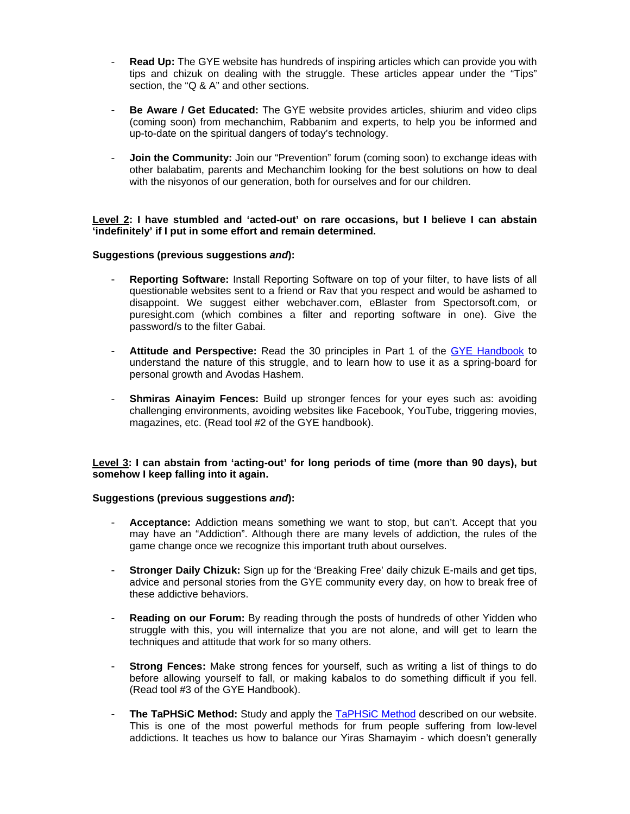- **Read Up:** The GYE website has hundreds of inspiring articles which can provide you with tips and chizuk on dealing with the struggle. These articles appear under the "Tips" section, the "Q & A" and other sections.
- **Be Aware / Get Educated:** The GYE website provides articles, shiurim and video clips (coming soon) from mechanchim, Rabbanim and experts, to help you be informed and up-to-date on the spiritual dangers of today's technology.
- **Join the Community:** Join our "Prevention" forum (coming soon) to exchange ideas with other balabatim, parents and Mechanchim looking for the best solutions on how to deal with the nisyonos of our generation, both for ourselves and for our children.

## **Level 2: I have stumbled and 'acted-out' on rare occasions, but I believe I can abstain 'indefinitely' if I put in some effort and remain determined.**

## **Suggestions (previous suggestions** *and***):**

- **Reporting Software:** Install Reporting Software on top of your filter, to have lists of all questionable websites sent to a friend or Rav that you respect and would be ashamed to disappoint. We suggest either webchaver.com, eBlaster from Spectorsoft.com, or puresight.com (which combines a filter and reporting software in one). Give the password/s to the filter Gabai.
- **Attitude and Perspective:** Read the 30 principles in Part 1 of the [GYE Handbook](http://www.guardureyes.com/GUE/TU/Guard%20Your%20Eyes%20Handbook.pdf) to understand the nature of this struggle, and to learn how to use it as a spring-board for personal growth and Avodas Hashem.
- **Shmiras Ainayim Fences:** Build up stronger fences for your eyes such as: avoiding challenging environments, avoiding websites like Facebook, YouTube, triggering movies, magazines, etc. (Read tool #2 of the GYE handbook).

## **Level 3: I can abstain from 'acting-out' for long periods of time (more than 90 days), but somehow I keep falling into it again.**

## **Suggestions (previous suggestions** *and***):**

- **Acceptance:** Addiction means something we want to stop, but can't. Accept that you may have an "Addiction". Although there are many levels of addiction, the rules of the game change once we recognize this important truth about ourselves.
- **Stronger Daily Chizuk:** Sign up for the 'Breaking Free' daily chizuk E-mails and get tips, advice and personal stories from the GYE community every day, on how to break free of these addictive behaviors.
- **Reading on our Forum:** By reading through the posts of hundreds of other Yidden who struggle with this, you will internalize that you are not alone, and will get to learn the techniques and attitude that work for so many others.
- **Strong Fences:** Make strong fences for yourself, such as writing a list of things to do before allowing yourself to fall, or making kabalos to do something difficult if you fell. (Read tool #3 of the GYE Handbook).
- The [TaPHSiC Method](http://www.guardyoureyes.org/?p=2451): Study and apply the TaPHSiC Method described on our website. This is one of the most powerful methods for frum people suffering from low-level addictions. It teaches us how to balance our Yiras Shamayim - which doesn't generally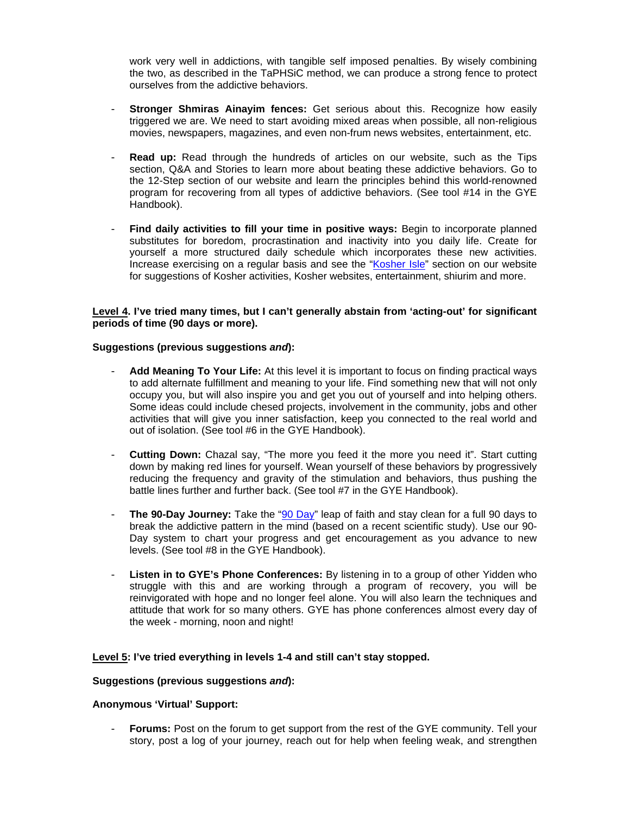work very well in addictions, with tangible self imposed penalties. By wisely combining the two, as described in the TaPHSiC method, we can produce a strong fence to protect ourselves from the addictive behaviors.

- **Stronger Shmiras Ainayim fences:** Get serious about this. Recognize how easily triggered we are. We need to start avoiding mixed areas when possible, all non-religious movies, newspapers, magazines, and even non-frum news websites, entertainment, etc.
- **Read up:** Read through the hundreds of articles on our website, such as the Tips section, Q&A and Stories to learn more about beating these addictive behaviors. Go to the 12-Step section of our website and learn the principles behind this world-renowned program for recovering from all types of addictive behaviors. (See tool #14 in the GYE Handbook).
- **Find daily activities to fill your time in positive ways:** Begin to incorporate planned substitutes for boredom, procrastination and inactivity into you daily life. Create for yourself a more structured daily schedule which incorporates these new activities. Increase exercising on a regular basis and see the "[Kosher Isle](http://www.guardureyes.com/GUE/Time/time.asp)" section on our website for suggestions of Kosher activities, Kosher websites, entertainment, shiurim and more.

## **Level 4. I've tried many times, but I can't generally abstain from 'acting-out' for significant periods of time (90 days or more).**

## **Suggestions (previous suggestions** *and***):**

- **Add Meaning To Your Life:** At this level it is important to focus on finding practical ways to add alternate fulfillment and meaning to your life. Find something new that will not only occupy you, but will also inspire you and get you out of yourself and into helping others. Some ideas could include chesed projects, involvement in the community, jobs and other activities that will give you inner satisfaction, keep you connected to the real world and out of isolation. (See tool #6 in the GYE Handbook).
- **Cutting Down:** Chazal say, "The more you feed it the more you need it". Start cutting down by making red lines for yourself. Wean yourself of these behaviors by progressively reducing the frequency and gravity of the stimulation and behaviors, thus pushing the battle lines further and further back. (See tool #7 in the GYE Handbook).
- The 90-Day Journey: Take the "[90 Day"](http://guardyoureyes.org/woh/90day.php) leap of faith and stay clean for a full 90 days to break the addictive pattern in the mind (based on a recent scientific study). Use our 90- Day system to chart your progress and get encouragement as you advance to new levels. (See tool #8 in the GYE Handbook).
- **Listen in to GYE's Phone Conferences:** By listening in to a group of other Yidden who struggle with this and are working through a program of recovery, you will be reinvigorated with hope and no longer feel alone. You will also learn the techniques and attitude that work for so many others. GYE has phone conferences almost every day of the week - morning, noon and night!

#### **Level 5: I've tried everything in levels 1-4 and still can't stay stopped.**

#### **Suggestions (previous suggestions** *and***):**

## **Anonymous 'Virtual' Support:**

- **Forums:** Post on the forum to get support from the rest of the GYE community. Tell your story, post a log of your journey, reach out for help when feeling weak, and strengthen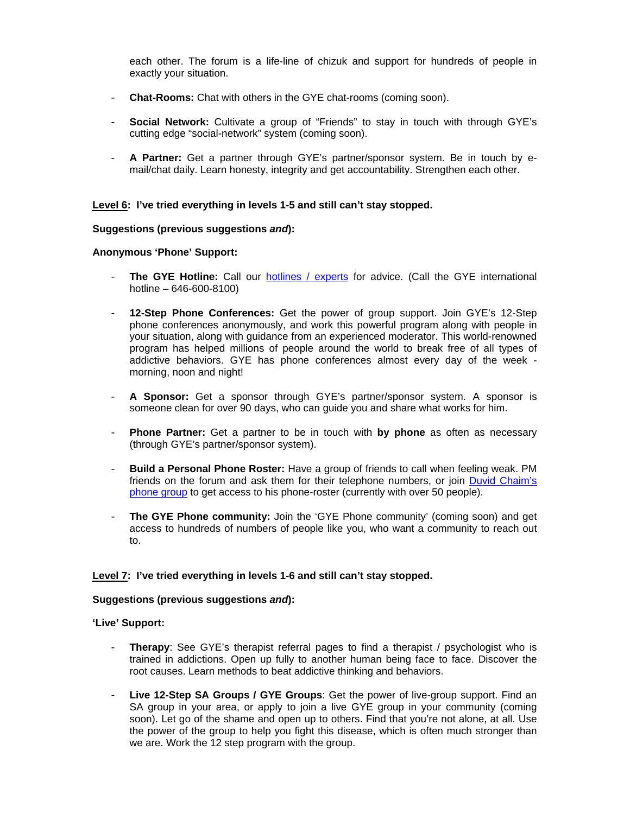each other. The forum is a life-line of chizuk and support for hundreds of people in exactly your situation.

- **Chat-Rooms:** Chat with others in the GYE chat-rooms (coming soon).
- **Social Network:** Cultivate a group of "Friends" to stay in touch with through GYE's cutting edge "social-network" system (coming soon).
- **A Partner:** Get a partner through GYE's partner/sponsor system. Be in touch by email/chat daily. Learn honesty, integrity and get accountability. Strengthen each other.

#### **Level 6: I've tried everything in levels 1-5 and still can't stay stopped.**

#### **Suggestions (previous suggestions** *and***):**

#### **Anonymous 'Phone' Support:**

- The GYE Hotline: Call our [hotlines / experts](http://www.guardureyes.com/GUE/hotline/Hotline.asp) for advice. (Call the GYE international hotline – 646-600-8100)
- **12-Step Phone Conferences:** Get the power of group support. Join GYE's 12-Step phone conferences anonymously, and work this powerful program along with people in your situation, along with guidance from an experienced moderator. This world-renowned program has helped millions of people around the world to break free of all types of addictive behaviors. GYE has phone conferences almost every day of the week morning, noon and night!
- **A Sponsor:** Get a sponsor through GYE's partner/sponsor system. A sponsor is someone clean for over 90 days, who can guide you and share what works for him.
- **Phone Partner:** Get a partner to be in touch with **by phone** as often as necessary (through GYE's partner/sponsor system).
- **Build a Personal Phone Roster:** Have a group of friends to call when feeling weak. PM friends on the forum and ask them for their telephone numbers, or join [Duvid Chaim's](http://www.guardyoureyes.org/?page_id=678)  [phone group](http://www.guardyoureyes.org/?page_id=678) to get access to his phone-roster (currently with over 50 people).
- **The GYE Phone community:** Join the 'GYE Phone community' (coming soon) and get access to hundreds of numbers of people like you, who want a community to reach out to.

## **Level 7: I've tried everything in levels 1-6 and still can't stay stopped.**

#### **Suggestions (previous suggestions** *and***):**

**'Live' Support:** 

- **Therapy**: See GYE's therapist referral pages to find a therapist / psychologist who is trained in addictions. Open up fully to another human being face to face. Discover the root causes. Learn methods to beat addictive thinking and behaviors.
- Live 12-Step SA Groups / GYE Groups: Get the power of live-group support. Find an SA group in your area, or apply to join a live GYE group in your community (coming soon). Let go of the shame and open up to others. Find that you're not alone, at all. Use the power of the group to help you fight this disease, which is often much stronger than we are. Work the 12 step program with the group.